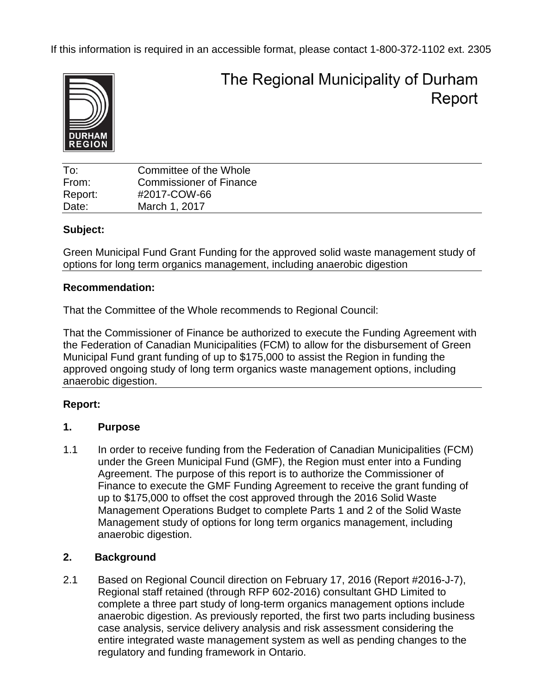If this information is required in an accessible format, please contact 1-800-372-1102 ext. 2305



The Regional Municipality of Durham Report

| To:     | Committee of the Whole         |
|---------|--------------------------------|
| From:   | <b>Commissioner of Finance</b> |
| Report: | #2017-COW-66                   |
| Date:   | March 1, 2017                  |

### **Subject:**

Green Municipal Fund Grant Funding for the approved solid waste management study of options for long term organics management, including anaerobic digestion

### **Recommendation:**

That the Committee of the Whole recommends to Regional Council:

That the Commissioner of Finance be authorized to execute the Funding Agreement with the Federation of Canadian Municipalities (FCM) to allow for the disbursement of Green Municipal Fund grant funding of up to \$175,000 to assist the Region in funding the approved ongoing study of long term organics waste management options, including anaerobic digestion.

# **Report:**

# **1. Purpose**

1.1 In order to receive funding from the Federation of Canadian Municipalities (FCM) under the Green Municipal Fund (GMF), the Region must enter into a Funding Agreement. The purpose of this report is to authorize the Commissioner of Finance to execute the GMF Funding Agreement to receive the grant funding of up to \$175,000 to offset the cost approved through the 2016 Solid Waste Management Operations Budget to complete Parts 1 and 2 of the Solid Waste Management study of options for long term organics management, including anaerobic digestion.

# **2. Background**

2.1 Based on Regional Council direction on February 17, 2016 (Report #2016-J-7), Regional staff retained (through RFP 602-2016) consultant GHD Limited to complete a three part study of long-term organics management options include anaerobic digestion. As previously reported, the first two parts including business case analysis, service delivery analysis and risk assessment considering the entire integrated waste management system as well as pending changes to the regulatory and funding framework in Ontario.